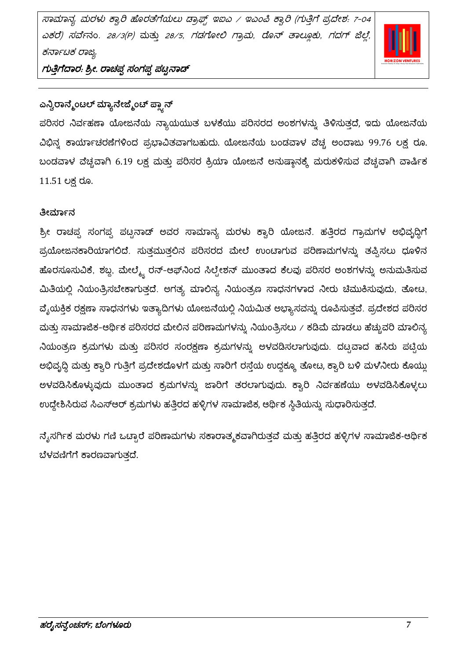ಸಾಮಾನ್ಯ ಮರಳು ಕ್ವಾರಿ ಹೊರತೆಗೆಯಲು ಡ್ರಾಫ್ಸ್ ಇಐಎ / ಇಎಂಪಿ ಕ್ವಾರಿ (ಗುತ್ತಿಗೆ ಪ್ರದೇಶ: 7-04 *ಎಕರೆ) ಸರ್ವೆ*ನಂ. 28/3(P) ಮತ್ತು 28/5, ಗಡಗೋಲಿ ಗ್ರಾ*ಮ, ರೊನ್ ತಾಲ್ಲೂಕು, ಗದಗ್ ಜಿಲ್ಲೆ*, ಕರ್ನಾಟಕ ರಾಜ್ಯ



ಗುತ್ತಿಗೆದಾರ. ಶ್ರೀ. ರಾಚಪ್ಪ ಸಂಗಪ್ಪ ಪಟ್ಟನಾಡ್

# ಎನ್ವಿರಾನ್ಮೆಂಟಲ್ ಮ್ಯಾನೇಜ್ಮೆಂಟ್ ಪ್ಲ್ಯಾನ್

ಪರಿಸರ ನಿರ್ವಹಣಾ ಯೋಜನೆಯ ನ್ಯಾಯಯುತ ಬಳಕೆಯು ಪರಿಸರದ ಅಂಶಗಳನ್ನು ತಿಳಿಸುತ್ತದೆ, ಇದು ಯೋಜನೆಯ ವಿಭಿನ್ನ ಕಾರ್ಯಾಚರಣೆಗಳಿಂದ ಪ್ರಭಾವಿತವಾಗಬಹುದು. ಯೋಜನೆಯ ಬಂಡವಾಳ ವೆಚ್ಚ ಅಂದಾಜು 99.76 ಲಕ್ಷ ರೂ. ಬಂಡವಾಳ ವೆಚ್ಚವಾಗಿ 6.19 ಲಕ್ಷ ಮತ್ತು ಪರಿಸರ ಕ್ರಿಯಾ ಯೋಜನೆ ಅನುಷ್ಠಾನಕ್ಕೆ ಮರುಕಳಿಸುವ ವೆಚ್ಚವಾಗಿ ವಾರ್ಷಿಕ 11.51 ಲಕ್ಷ ರೂ.

### ತೀರ್ಮಾನ

ಶ್ರೀ ರಾಚಪ್ಪ ಸಂಗಪ್ಪ ಪಟ್ಟನಾಡ್ ಅವರ ಸಾಮಾನ್ಯ ಮರಳು ಕ್ವಾರಿ ಯೋಜನೆ. ಹತ್ತಿರದ ಗ್ರಾಮಗಳ ಅಭಿವೃದ್ಧಿಗೆ ಪ್ರಯೋಜನಕಾರಿಯಾಗಲಿದೆ. ಸುತ್ತಮುತ್ತಲಿನ ಪರಿಸರದ ಮೇಲೆ ಉಂಟಾಗುವ ಪರಿಣಾಮಗಳನ್ನು ತಪ್ಪಿಸಲು ಧೂಳಿನ ಹೊರಸೂಸುವಿಕೆ, ಶಬ್ದ, ಮೇಲ್ಮ್ರೆ ರನ್-ಆಫ್ನಿಂದ ಸಿಲ್ಟೇಶನ್ ಮುಂತಾದ ಕೆಲವು ಪರಿಸರ ಅಂಶಗಳನ್ನು ಅನುಮತಿಸುವ ಮಿತಿಯಲ್ಲಿ ನಿಯಂತ್ರಿಸಬೇಕಾಗುತ್ತದೆ. ಅಗತ್ಯ ಮಾಲಿನ್ಯ ನಿಯಂತ್ರಣ ಸಾಧನಗಳಾದ ನೀರು ಚೆಮುಕಿಸುವುದು, ತೋಟ, ವೈಯಕ್ತಿಕ ರಕ್ಷಣಾ ಸಾಧನಗಳು ಇತ್ಯಾದಿಗಳು ಯೋಜನೆಯಲ್ಲಿ ನಿಯಮಿತ ಅಭ್ಯಾಸವನ್ನು ರೂಪಿಸುತ್ತವೆ. ಪ್ರದೇಶದ ಪರಿಸರ ಮತ್ತು ಸಾಮಾಜಿಕ-ಆರ್ಥಿಕ ಪರಿಸರದ ಮೇಲಿನ ಪರಿಣಾಮಗಳನ್ನು ನಿಯಂತ್ರಿಸಲು / ಕಡಿಮೆ ಮಾಡಲು ಹೆಚ್ಚುವರಿ ಮಾಲಿನ್ಯ ನಿಯಂತ್ರಣ ಕ್ರಮಗಳು ಮತ್ತು ಪರಿಸರ ಸಂರಕ್ಷಣಾ ಕ್ರಮಗಳನ್ನು ಅಳವಡಿಸಲಾಗುವುದು. ದಟ್ಟವಾದ ಹಸಿರು ಪಟ್ಟಿಯ ಅಭಿವೃದ್ಧಿ ಮತ್ತು ಕ್ಯಾರಿ ಗುತ್ತಿಗೆ ಪ್ರದೇಶದೊಳಗೆ ಮತ್ತು ಸಾರಿಗೆ ರಸ್ತೆಯ ಉದ್ದಕ್ಕೂ ತೋಟ, ಕ್ಯಾರಿ ಬಳಿ ಮಳೆನೀರು ಕೊಯ್ಲು ಅಳವಡಿಸಿಕೊಳ್ಳುವುದು ಮುಂತಾದ ಕ್ರಮಗಳನ್ನು ಜಾರಿಗೆ ತರಲಾಗುವುದು. ಕ್ವಾರಿ ನಿರ್ವಹಣೆಯು ಅಳವಡಿಸಿಕೊಳ್ಳಲು ಉದ್ದೇಶಿಸಿರುವ ಸಿಎಸ್ಆರ್ ಕ್ರಮಗಳು ಹತ್ತಿರದ ಹಳ್ಳಿಗಳ ಸಾಮಾಜಿಕ, ಆರ್ಥಿಕ ಸ್ಥಿತಿಯನ್ನು ಸುಧಾರಿಸುತ್ತದೆ.

ನೈಸರ್ಗಿಕ ಮರಳು ಗಣಿ ಒಟ್ಟಾರೆ ಪರಿಣಾಮಗಳು ಸಕಾರಾತ್ಮಕವಾಗಿರುತ್ತವೆ ಮತ್ತು ಹತ್ತಿರದ ಹಳ್ಳಿಗಳ ಸಾಮಾಜಿಕ-ಆರ್ಥಿಕ ಬೆಳವಣಿಗೆಗೆ ಕಾರಣವಾಗುತ್ತದೆ.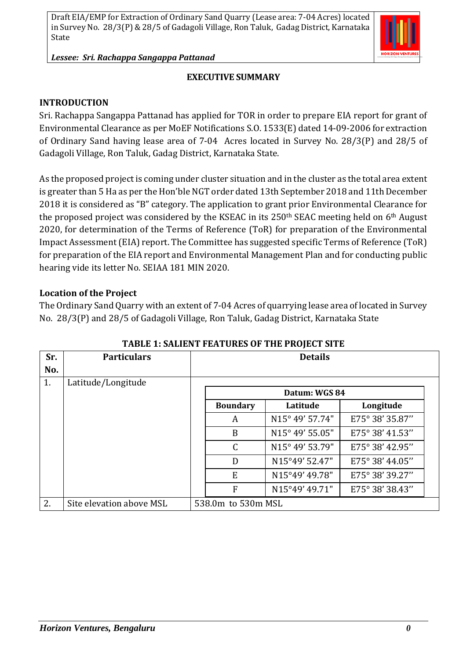

*Lessee: Sri. Rachappa Sangappa Pattanad*

## **EXECUTIVE SUMMARY**

### **INTRODUCTION**

Sri. Rachappa Sangappa Pattanad has applied for TOR in order to prepare EIA report for grant of Environmental Clearance as per MoEF Notifications S.O. 1533(E) dated 14-09-2006 for extraction of Ordinary Sand having lease area of 7-04 Acres located in Survey No. 28/3(P) and 28/5 of Gadagoli Village, Ron Taluk, Gadag District, Karnataka State.

As the proposed project is coming under cluster situation and in the cluster as the total area extent is greater than 5 Ha as per the Hon'ble NGT order dated 13th September 2018 and 11th December 2018 it is considered as "B" category. The application to grant prior Environmental Clearance for the proposed project was considered by the KSEAC in its 250th SEAC meeting held on 6th August 2020, for determination of the Terms of Reference (ToR) for preparation of the Environmental Impact Assessment (EIA) report. The Committee has suggested specific Terms of Reference (ToR) for preparation of the EIA report and Environmental Management Plan and for conducting public hearing vide its letter No. SEIAA 181 MIN 2020.

## **Location of the Project**

The Ordinary Sand Quarry with an extent of 7-04 Acres of quarrying lease area of located in Survey No. 28/3(P) and 28/5 of Gadagoli Village, Ron Taluk, Gadag District, Karnataka State

| Sr. | <b>Particulars</b>       |                    | <b>Details</b>  |                 |                 |  |
|-----|--------------------------|--------------------|-----------------|-----------------|-----------------|--|
| No. |                          |                    |                 |                 |                 |  |
| 1.  | Latitude/Longitude       |                    |                 |                 |                 |  |
|     |                          | Datum: WGS 84      |                 |                 |                 |  |
|     |                          |                    | <b>Boundary</b> | Latitude        | Longitude       |  |
|     |                          |                    | A               | N15° 49' 57.74" | E75° 38' 35.87" |  |
|     |                          |                    | B               | N15° 49' 55.05" | E75° 38' 41.53" |  |
|     |                          |                    | $\mathcal{C}$   | N15° 49' 53.79" | E75° 38' 42.95" |  |
|     |                          |                    | D               | N15°49' 52.47"  | E75° 38' 44.05" |  |
|     |                          |                    | E               | N15°49' 49.78"  | E75° 38' 39.27" |  |
|     |                          |                    | F               | N15°49' 49.71"  | E75° 38' 38.43" |  |
| 2.  | Site elevation above MSL | 538.0m to 530m MSL |                 |                 |                 |  |

### **TABLE 1: SALIENT FEATURES OF THE PROJECT SITE**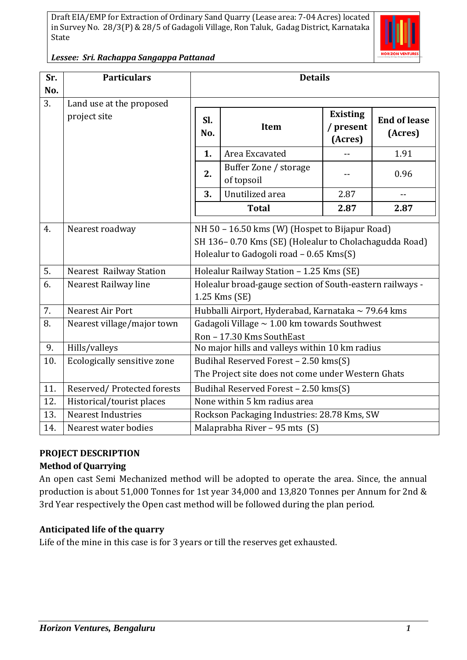

#### *Lessee: Sri. Rachappa Sangappa Pattanad*

| Sr. | <b>Particulars</b>                       | <b>Details</b>                                                                                                                                     |                                     |                                         |                                |  |
|-----|------------------------------------------|----------------------------------------------------------------------------------------------------------------------------------------------------|-------------------------------------|-----------------------------------------|--------------------------------|--|
| No. |                                          |                                                                                                                                                    |                                     |                                         |                                |  |
| 3.  | Land use at the proposed<br>project site | Sl.<br>No.                                                                                                                                         | Item                                | <b>Existing</b><br>/ present<br>(Acres) | <b>End of lease</b><br>(Acres) |  |
|     |                                          | 1.                                                                                                                                                 | Area Excavated                      |                                         | 1.91                           |  |
|     |                                          | 2.                                                                                                                                                 | Buffer Zone / storage<br>of topsoil |                                         | 0.96                           |  |
|     |                                          | 3.                                                                                                                                                 | Unutilized area                     | 2.87                                    | --                             |  |
|     |                                          |                                                                                                                                                    | <b>Total</b>                        | 2.87                                    | 2.87                           |  |
| 4.  | Nearest roadway                          | NH 50 - 16.50 kms (W) (Hospet to Bijapur Road)<br>SH 136-0.70 Kms (SE) (Holealur to Cholachagudda Road)<br>Holealur to Gadogoli road - 0.65 Kms(S) |                                     |                                         |                                |  |
| 5.  | <b>Nearest Railway Station</b>           | Holealur Railway Station - 1.25 Kms (SE)                                                                                                           |                                     |                                         |                                |  |
| 6.  | Nearest Railway line                     | Holealur broad-gauge section of South-eastern railways -<br>1.25 Kms (SE)                                                                          |                                     |                                         |                                |  |
| 7.  | Nearest Air Port                         | Hubballi Airport, Hyderabad, Karnataka ~ 79.64 kms                                                                                                 |                                     |                                         |                                |  |
| 8.  | Nearest village/major town               | Gadagoli Village $\sim 1.00$ km towards Southwest<br>Ron - 17.30 Kms SouthEast                                                                     |                                     |                                         |                                |  |
| 9.  | Hills/valleys                            | No major hills and valleys within 10 km radius                                                                                                     |                                     |                                         |                                |  |
| 10. | Ecologically sensitive zone              | Budihal Reserved Forest - 2.50 kms(S)<br>The Project site does not come under Western Ghats                                                        |                                     |                                         |                                |  |
| 11. | Reserved/Protected forests               | Budihal Reserved Forest - 2.50 kms(S)                                                                                                              |                                     |                                         |                                |  |
| 12. | Historical/tourist places                | None within 5 km radius area                                                                                                                       |                                     |                                         |                                |  |
| 13. | <b>Nearest Industries</b>                | Rockson Packaging Industries: 28.78 Kms, SW                                                                                                        |                                     |                                         |                                |  |
| 14. | Nearest water bodies                     | Malaprabha River - 95 mts (S)                                                                                                                      |                                     |                                         |                                |  |

### **PROJECT DESCRIPTION**

### **Method of Quarrying**

An open cast Semi Mechanized method will be adopted to operate the area. Since, the annual production is about 51,000 Tonnes for 1st year 34,000 and 13,820 Tonnes per Annum for 2nd & 3rd Year respectively the Open cast method will be followed during the plan period.

### **Anticipated life of the quarry**

Life of the mine in this case is for 3 years or till the reserves get exhausted.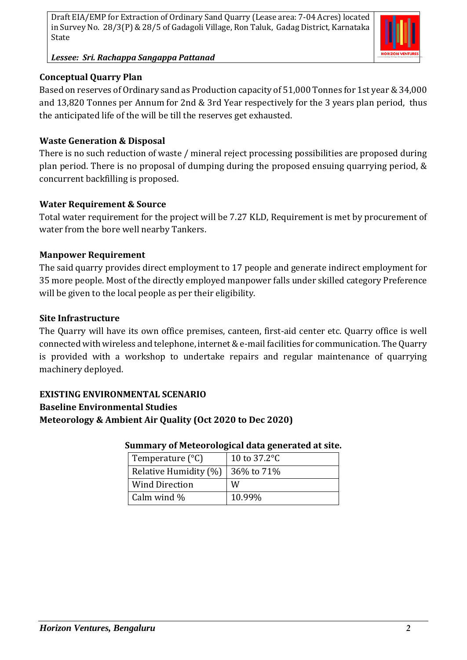

*Lessee: Sri. Rachappa Sangappa Pattanad*

## **Conceptual Quarry Plan**

Based on reserves of Ordinary sand as Production capacity of 51,000 Tonnes for 1st year & 34,000 and 13,820 Tonnes per Annum for 2nd & 3rd Year respectively for the 3 years plan period, thus the anticipated life of the will be till the reserves get exhausted.

## **Waste Generation & Disposal**

There is no such reduction of waste / mineral reject processing possibilities are proposed during plan period. There is no proposal of dumping during the proposed ensuing quarrying period, & concurrent backfilling is proposed.

## **Water Requirement & Source**

Total water requirement for the project will be 7.27 KLD, Requirement is met by procurement of water from the bore well nearby Tankers.

## **Manpower Requirement**

The said quarry provides direct employment to 17 people and generate indirect employment for 35 more people. Most of the directly employed manpower falls under skilled category Preference will be given to the local people as per their eligibility.

### **Site Infrastructure**

The Quarry will have its own office premises, canteen, first-aid center etc. Quarry office is well connected with wireless and telephone, internet & e-mail facilities for communication. The Quarry is provided with a workshop to undertake repairs and regular maintenance of quarrying machinery deployed.

## **EXISTING ENVIRONMENTAL SCENARIO Baseline Environmental Studies Meteorology & Ambient Air Quality (Oct 2020 to Dec 2020)**

### **Summary of Meteorological data generated at site.**

| Temperature $(^{\circ}C)$             | 10 to $37.2^{\circ}$ C |
|---------------------------------------|------------------------|
| Relative Humidity $(\%)$   36% to 71% |                        |
| <b>Wind Direction</b>                 | W                      |
| Calm wind $\%$                        | 10.99%                 |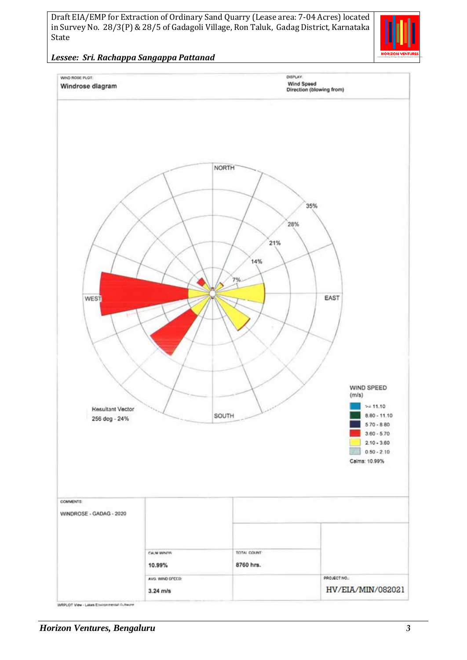

*Lessee: Sri. Rachappa Sangappa Pattanad*



WRPLOT View - Lakes Environmental Subware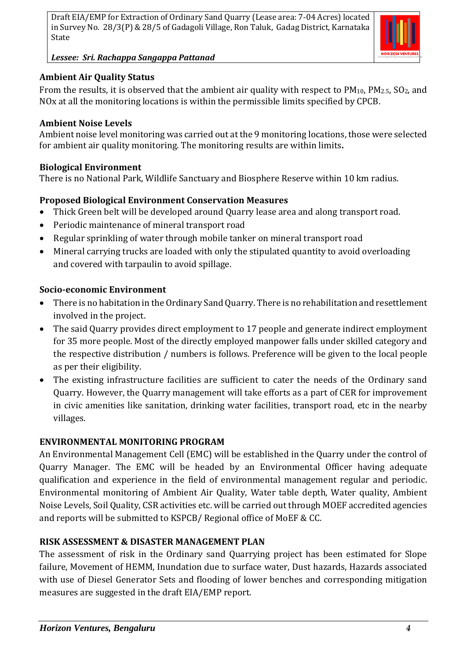

#### *Lessee: Sri. Rachappa Sangappa Pattanad*

### **Ambient Air Quality Status**

From the results, it is observed that the ambient air quality with respect to  $PM_{10}$ ,  $PM_{2.5}$ ,  $SO_2$ , and NOx at all the monitoring locations is within the permissible limits specified by CPCB.

### **Ambient Noise Levels**

Ambient noise level monitoring was carried out at the 9 monitoring locations, those were selected for ambient air quality monitoring. The monitoring results are within limits**.**

### **Biological Environment**

There is no National Park, Wildlife Sanctuary and Biosphere Reserve within 10 km radius.

### **Proposed Biological Environment Conservation Measures**

- Thick Green belt will be developed around Quarry lease area and along transport road.
- Periodic maintenance of mineral transport road
- Regular sprinkling of water through mobile tanker on mineral transport road
- Mineral carrying trucks are loaded with only the stipulated quantity to avoid overloading and covered with tarpaulin to avoid spillage.

### **Socio-economic Environment**

- There is no habitation in the Ordinary Sand Quarry. There is no rehabilitation and resettlement involved in the project.
- The said Quarry provides direct employment to 17 people and generate indirect employment for 35 more people. Most of the directly employed manpower falls under skilled category and the respective distribution / numbers is follows. Preference will be given to the local people as per their eligibility.
- The existing infrastructure facilities are sufficient to cater the needs of the Ordinary sand Quarry. However, the Quarry management will take efforts as a part of CER for improvement in civic amenities like sanitation, drinking water facilities, transport road, etc in the nearby villages.

### **ENVIRONMENTAL MONITORING PROGRAM**

An Environmental Management Cell (EMC) will be established in the Quarry under the control of Quarry Manager. The EMC will be headed by an Environmental Officer having adequate qualification and experience in the field of environmental management regular and periodic. Environmental monitoring of Ambient Air Quality, Water table depth, Water quality, Ambient Noise Levels, Soil Quality, CSR activities etc. will be carried out through MOEF accredited agencies and reports will be submitted to KSPCB/ Regional office of MoEF & CC.

### **RISK ASSESSMENT & DISASTER MANAGEMENT PLAN**

The assessment of risk in the Ordinary sand Quarrying project has been estimated for Slope failure, Movement of HEMM, Inundation due to surface water, Dust hazards, Hazards associated with use of Diesel Generator Sets and flooding of lower benches and corresponding mitigation measures are suggested in the draft EIA/EMP report.